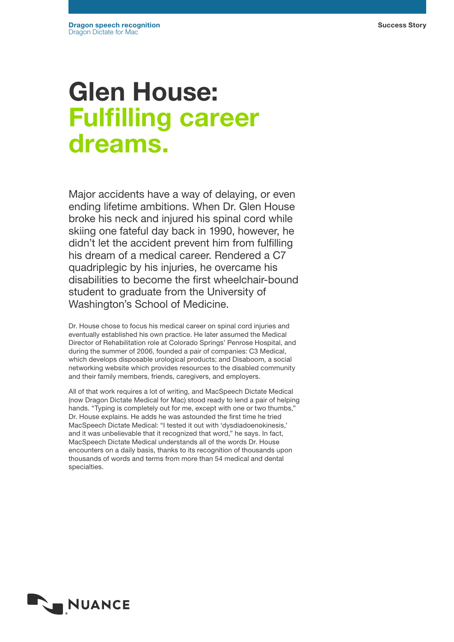# Glen House: Fulfilling career dreams.

Major accidents have a way of delaying, or even ending lifetime ambitions. When Dr. Glen House broke his neck and injured his spinal cord while skiing one fateful day back in 1990, however, he didn't let the accident prevent him from fulfilling his dream of a medical career. Rendered a C7 quadriplegic by his injuries, he overcame his disabilities to become the first wheelchair-bound student to graduate from the University of Washington's School of Medicine.

Dr. House chose to focus his medical career on spinal cord injuries and eventually established his own practice. He later assumed the Medical Director of Rehabilitation role at Colorado Springs' Penrose Hospital, and during the summer of 2006, founded a pair of companies: C3 Medical, which develops disposable urological products; and Disaboom, a social networking website which provides resources to the disabled community and their family members, friends, caregivers, and employers.

All of that work requires a lot of writing, and MacSpeech Dictate Medical (now Dragon Dictate Medical for Mac) stood ready to lend a pair of helping hands. "Typing is completely out for me, except with one or two thumbs," Dr. House explains. He adds he was astounded the first time he tried MacSpeech Dictate Medical: "I tested it out with 'dysdiadoenokinesis,' and it was unbelievable that it recognized that word," he says. In fact, MacSpeech Dictate Medical understands all of the words Dr. House encounters on a daily basis, thanks to its recognition of thousands upon thousands of words and terms from more than 54 medical and dental specialties.